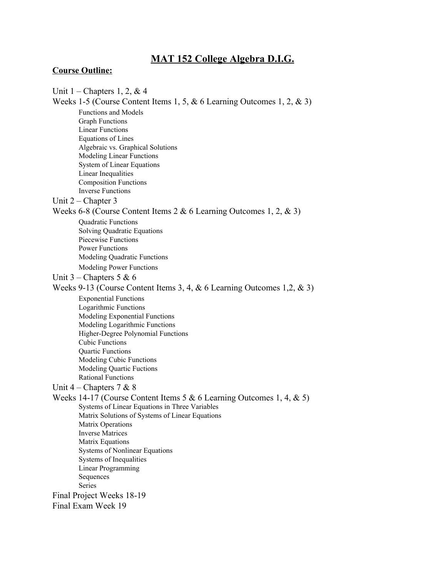# **MAT 152 College Algebra D.I.G.**

#### **Course Outline:**

Unit  $1$  – Chapters 1, 2, & 4 Weeks 1-5 (Course Content Items 1, 5,  $\&$  6 Learning Outcomes 1, 2,  $\&$  3) Functions and Models Graph Functions Linear Functions Equations of Lines Algebraic vs. Graphical Solutions Modeling Linear Functions System of Linear Equations Linear Inequalities Composition Functions Inverse Functions Unit 2 – Chapter 3 Weeks 6-8 (Course Content Items  $2 & 6$  Learning Outcomes 1, 2,  $& 3$ ) Quadratic Functions Solving Quadratic Equations Piecewise Functions Power Functions Modeling Quadratic Functions Modeling Power Functions Unit  $3$  – Chapters 5 & 6 Weeks 913 (Course Content Items 3, 4, & 6 Learning Outcomes 1,2, & 3) Exponential Functions Logarithmic Functions Modeling Exponential Functions Modeling Logarithmic Functions Higher-Degree Polynomial Functions Cubic Functions Quartic Functions Modeling Cubic Functions Modeling Quartic Fuctions Rational Functions Unit 4 – Chapters 7 & 8 Weeks 14-17 (Course Content Items 5 & 6 Learning Outcomes 1, 4, & 5) Systems of Linear Equations in Three Variables Matrix Solutions of Systems of Linear Equations Matrix Operations Inverse Matrices Matrix Equations Systems of Nonlinear Equations Systems of Inequalities Linear Programming Sequences Series Final Project Weeks 18-19 Final Exam Week 19